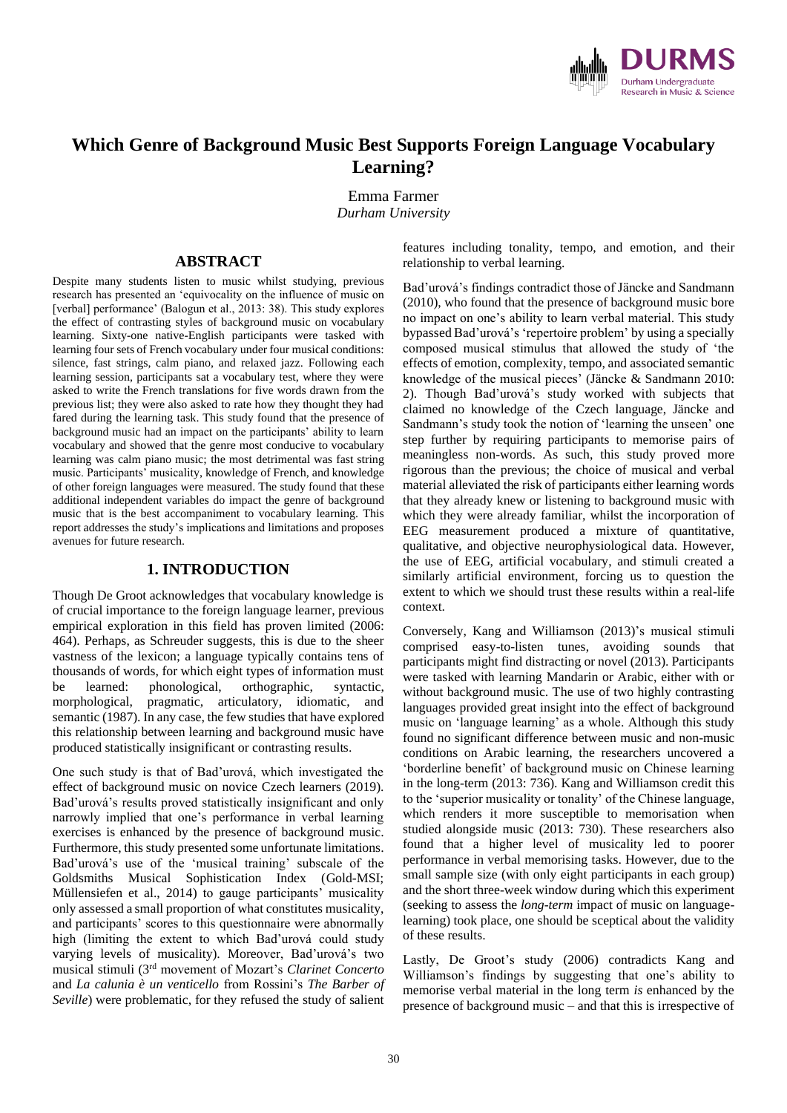

## **Which Genre of Background Music Best Supports Foreign Language Vocabulary Learning?**

Emma Farmer *Durham University*

## **ABSTRACT**

Despite many students listen to music whilst studying, previous research has presented an 'equivocality on the influence of music on [verbal] performance' (Balogun et al., 2013: 38). This study explores the effect of contrasting styles of background music on vocabulary learning. Sixty-one native-English participants were tasked with learning four sets of French vocabulary under four musical conditions: silence, fast strings, calm piano, and relaxed jazz. Following each learning session, participants sat a vocabulary test, where they were asked to write the French translations for five words drawn from the previous list; they were also asked to rate how they thought they had fared during the learning task. This study found that the presence of background music had an impact on the participants' ability to learn vocabulary and showed that the genre most conducive to vocabulary learning was calm piano music; the most detrimental was fast string music. Participants' musicality, knowledge of French, and knowledge of other foreign languages were measured. The study found that these additional independent variables do impact the genre of background music that is the best accompaniment to vocabulary learning. This report addresses the study's implications and limitations and proposes avenues for future research.

## **1. INTRODUCTION**

Though De Groot acknowledges that vocabulary knowledge is of crucial importance to the foreign language learner, previous empirical exploration in this field has proven limited (2006: 464). Perhaps, as Schreuder suggests, this is due to the sheer vastness of the lexicon; a language typically contains tens of thousands of words, for which eight types of information must be learned: phonological, orthographic, syntactic, morphological, pragmatic, articulatory, idiomatic, and semantic (1987). In any case, the few studies that have explored this relationship between learning and background music have produced statistically insignificant or contrasting results.

One such study is that of Bad'urová, which investigated the effect of background music on novice Czech learners (2019). Bad'urová's results proved statistically insignificant and only narrowly implied that one's performance in verbal learning exercises is enhanced by the presence of background music. Furthermore, this study presented some unfortunate limitations. Bad'urová's use of the 'musical training' subscale of the Goldsmiths Musical Sophistication Index (Gold-MSI; Müllensiefen et al., 2014) to gauge participants' musicality only assessed a small proportion of what constitutes musicality, and participants' scores to this questionnaire were abnormally high (limiting the extent to which Bad'urová could study varying levels of musicality). Moreover, Bad'urová's two musical stimuli (3rd movement of Mozart's *Clarinet Concerto*  and *La calunia è un venticello* from Rossini's *The Barber of Seville*) were problematic, for they refused the study of salient

features including tonality, tempo, and emotion, and their relationship to verbal learning.

Bad'urová's findings contradict those of Jäncke and Sandmann (2010), who found that the presence of background music bore no impact on one's ability to learn verbal material. This study bypassed Bad'urová's 'repertoire problem' by using a specially composed musical stimulus that allowed the study of 'the effects of emotion, complexity, tempo, and associated semantic knowledge of the musical pieces' (Jäncke & Sandmann 2010: 2). Though Bad'urová's study worked with subjects that claimed no knowledge of the Czech language, Jäncke and Sandmann's study took the notion of 'learning the unseen' one step further by requiring participants to memorise pairs of meaningless non-words. As such, this study proved more rigorous than the previous; the choice of musical and verbal material alleviated the risk of participants either learning words that they already knew or listening to background music with which they were already familiar, whilst the incorporation of EEG measurement produced a mixture of quantitative, qualitative, and objective neurophysiological data. However, the use of EEG, artificial vocabulary, and stimuli created a similarly artificial environment, forcing us to question the extent to which we should trust these results within a real-life context.

Conversely, Kang and Williamson (2013)'s musical stimuli comprised easy-to-listen tunes, avoiding sounds that participants might find distracting or novel (2013). Participants were tasked with learning Mandarin or Arabic, either with or without background music. The use of two highly contrasting languages provided great insight into the effect of background music on 'language learning' as a whole. Although this study found no significant difference between music and non-music conditions on Arabic learning, the researchers uncovered a 'borderline benefit' of background music on Chinese learning in the long-term (2013: 736). Kang and Williamson credit this to the 'superior musicality or tonality' of the Chinese language, which renders it more susceptible to memorisation when studied alongside music (2013: 730). These researchers also found that a higher level of musicality led to poorer performance in verbal memorising tasks. However, due to the small sample size (with only eight participants in each group) and the short three-week window during which this experiment (seeking to assess the *long-term* impact of music on languagelearning) took place, one should be sceptical about the validity of these results.

Lastly, De Groot's study (2006) contradicts Kang and Williamson's findings by suggesting that one's ability to memorise verbal material in the long term *is* enhanced by the presence of background music – and that this is irrespective of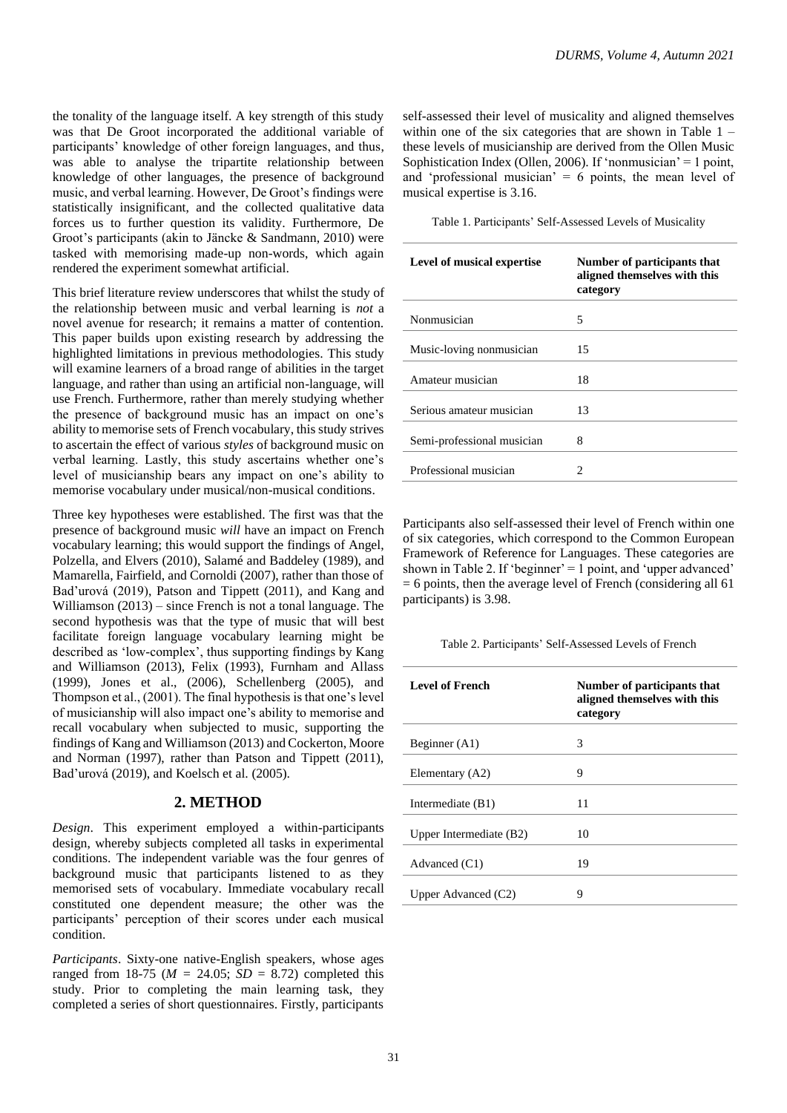the tonality of the language itself. A key strength of this study was that De Groot incorporated the additional variable of participants' knowledge of other foreign languages, and thus, was able to analyse the tripartite relationship between knowledge of other languages, the presence of background music, and verbal learning. However, De Groot's findings were statistically insignificant, and the collected qualitative data forces us to further question its validity. Furthermore, De Groot's participants (akin to Jäncke & Sandmann, 2010) were tasked with memorising made-up non-words, which again rendered the experiment somewhat artificial.

This brief literature review underscores that whilst the study of the relationship between music and verbal learning is *not* a novel avenue for research; it remains a matter of contention. This paper builds upon existing research by addressing the highlighted limitations in previous methodologies. This study will examine learners of a broad range of abilities in the target language, and rather than using an artificial non-language, will use French. Furthermore, rather than merely studying whether the presence of background music has an impact on one's ability to memorise sets of French vocabulary, this study strives to ascertain the effect of various *styles* of background music on verbal learning. Lastly, this study ascertains whether one's level of musicianship bears any impact on one's ability to memorise vocabulary under musical/non-musical conditions.

Three key hypotheses were established. The first was that the presence of background music *will* have an impact on French vocabulary learning; this would support the findings of Angel, Polzella, and Elvers (2010), Salamé and Baddeley (1989), and Mamarella, Fairfield, and Cornoldi (2007), rather than those of Bad'urová (2019), Patson and Tippett (2011), and Kang and Williamson (2013) – since French is not a tonal language. The second hypothesis was that the type of music that will best facilitate foreign language vocabulary learning might be described as 'low-complex', thus supporting findings by Kang and Williamson (2013), Felix (1993), Furnham and Allass (1999), Jones et al., (2006), Schellenberg (2005), and Thompson et al., (2001). The final hypothesis is that one's level of musicianship will also impact one's ability to memorise and recall vocabulary when subjected to music, supporting the findings of Kang and Williamson (2013) and Cockerton, Moore and Norman (1997), rather than Patson and Tippett (2011), Bad'urová (2019), and Koelsch et al. (2005).

## **2. METHOD**

*Design*. This experiment employed a within-participants design, whereby subjects completed all tasks in experimental conditions. The independent variable was the four genres of background music that participants listened to as they memorised sets of vocabulary. Immediate vocabulary recall constituted one dependent measure; the other was the participants' perception of their scores under each musical condition.

*Participants*. Sixty-one native-English speakers, whose ages ranged from 18-75 ( $M = 24.05$ ;  $SD = 8.72$ ) completed this study. Prior to completing the main learning task, they completed a series of short questionnaires. Firstly, participants

self-assessed their level of musicality and aligned themselves within one of the six categories that are shown in Table  $1$ these levels of musicianship are derived from the Ollen Music Sophistication Index (Ollen, 2006). If 'nonmusician' = 1 point, and 'professional musician' =  $6$  points, the mean level of musical expertise is 3.16.

| Table 1. Participants' Self-Assessed Levels of Musicality |  |  |  |  |
|-----------------------------------------------------------|--|--|--|--|
|-----------------------------------------------------------|--|--|--|--|

| <b>Level of musical expertise</b> | Number of participants that<br>aligned themselves with this<br>category |
|-----------------------------------|-------------------------------------------------------------------------|
| Nonmusician                       | 5                                                                       |
| Music-loving nonmusician          | 15                                                                      |
| Amateur musician                  | 18                                                                      |
| Serious amateur musician          | 13                                                                      |
| Semi-professional musician        | 8                                                                       |
| Professional musician             | 2                                                                       |

Participants also self-assessed their level of French within one of six categories, which correspond to the Common European Framework of Reference for Languages. These categories are shown in Table 2. If 'beginner' =  $1$  point, and 'upper advanced' = 6 points, then the average level of French (considering all 61 participants) is 3.98.

Table 2. Participants' Self-Assessed Levels of French

| Number of participants that<br>aligned themselves with this<br>category |
|-------------------------------------------------------------------------|
| 3                                                                       |
| 9                                                                       |
| 11                                                                      |
| 10                                                                      |
| 19                                                                      |
| 9                                                                       |
|                                                                         |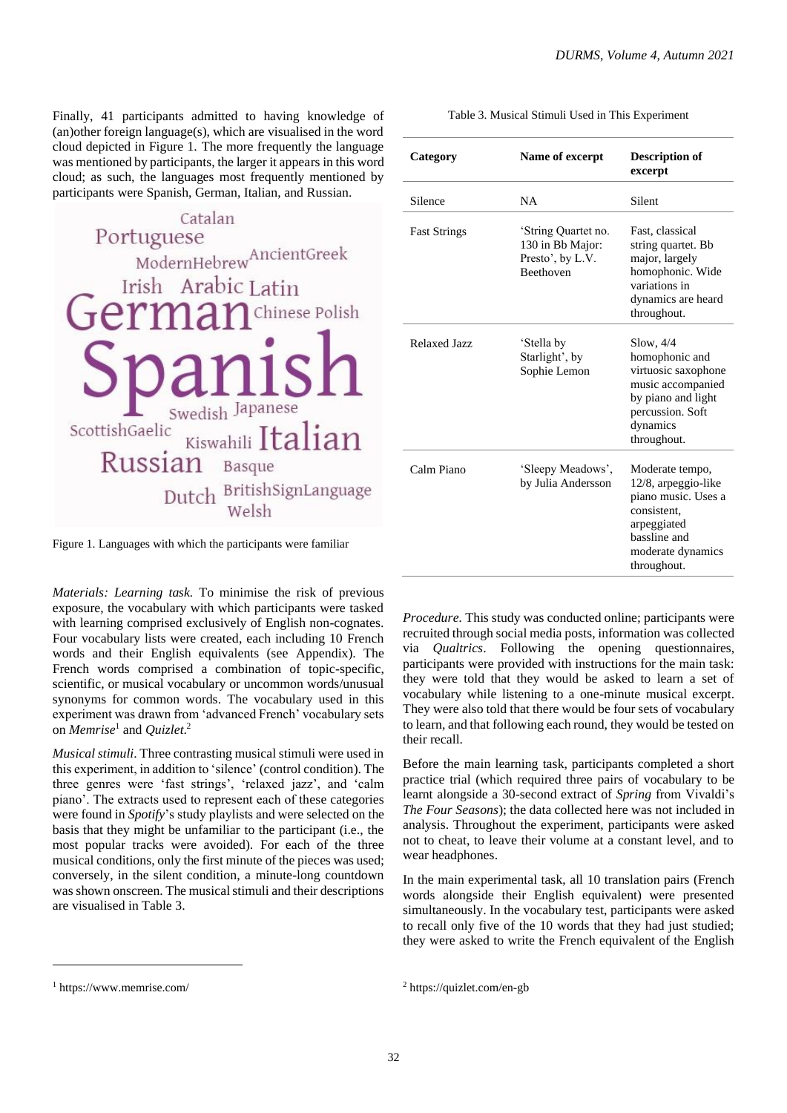Finally, 41 participants admitted to having knowledge of (an)other foreign language(s), which are visualised in the word cloud depicted in Figure 1. The more frequently the language was mentioned by participants, the larger it appears in this word cloud; as such, the languages most frequently mentioned by participants were Spanish, German, Italian, and Russian.



Figure 1. Languages with which the participants were familiar

*Materials: Learning task.* To minimise the risk of previous exposure, the vocabulary with which participants were tasked with learning comprised exclusively of English non-cognates. Four vocabulary lists were created, each including 10 French words and their English equivalents (see Appendix). The French words comprised a combination of topic-specific, scientific, or musical vocabulary or uncommon words/unusual synonyms for common words. The vocabulary used in this experiment was drawn from 'advanced French' vocabulary sets on *Memrise*<sup>1</sup> and *Quizlet*. 2

*Musical stimuli*. Three contrasting musical stimuli were used in this experiment, in addition to 'silence' (control condition). The three genres were 'fast strings', 'relaxed jazz', and 'calm piano'. The extracts used to represent each of these categories were found in *Spotify*'s study playlists and were selected on the basis that they might be unfamiliar to the participant (i.e., the most popular tracks were avoided). For each of the three musical conditions, only the first minute of the pieces was used; conversely, in the silent condition, a minute-long countdown was shown onscreen. The musical stimuli and their descriptions are visualised in Table 3.

| Table 3. Musical Stimuli Used in This Experiment |  |  |
|--------------------------------------------------|--|--|
|                                                  |  |  |

| Category            | Name of excerpt                                                                 | <b>Description of</b><br>excerpt                                                                                                                |
|---------------------|---------------------------------------------------------------------------------|-------------------------------------------------------------------------------------------------------------------------------------------------|
| Silence             | <b>NA</b>                                                                       | Silent                                                                                                                                          |
| <b>Fast Strings</b> | 'String Quartet no.<br>130 in Bb Major:<br>Presto', by L.V.<br><b>Beethoven</b> | Fast, classical<br>string quartet. Bb<br>major, largely<br>homophonic. Wide<br>variations in<br>dynamics are heard<br>throughout.               |
| Relaxed Jazz        | 'Stella by<br>Starlight', by<br>Sophie Lemon                                    | Slow, 4/4<br>homophonic and<br>virtuosic saxophone<br>music accompanied<br>by piano and light<br>percussion. Soft<br>dynamics<br>throughout.    |
| Calm Piano          | 'Sleepy Meadows',<br>by Julia Andersson                                         | Moderate tempo,<br>12/8, arpeggio-like<br>piano music. Uses a<br>consistent.<br>arpeggiated<br>bassline and<br>moderate dynamics<br>throughout. |

*Procedure.* This study was conducted online; participants were recruited through social media posts, information was collected via *Qualtrics*. Following the opening questionnaires, participants were provided with instructions for the main task: they were told that they would be asked to learn a set of vocabulary while listening to a one-minute musical excerpt. They were also told that there would be four sets of vocabulary to learn, and that following each round, they would be tested on their recall.

Before the main learning task, participants completed a short practice trial (which required three pairs of vocabulary to be learnt alongside a 30-second extract of *Spring* from Vivaldi's *The Four Seasons*); the data collected here was not included in analysis. Throughout the experiment, participants were asked not to cheat, to leave their volume at a constant level, and to wear headphones.

In the main experimental task, all 10 translation pairs (French words alongside their English equivalent) were presented simultaneously. In the vocabulary test, participants were asked to recall only five of the 10 words that they had just studied; they were asked to write the French equivalent of the English

<sup>1</sup> <https://www.memrise.com/>

<sup>2</sup> https://quizlet.com/en-gb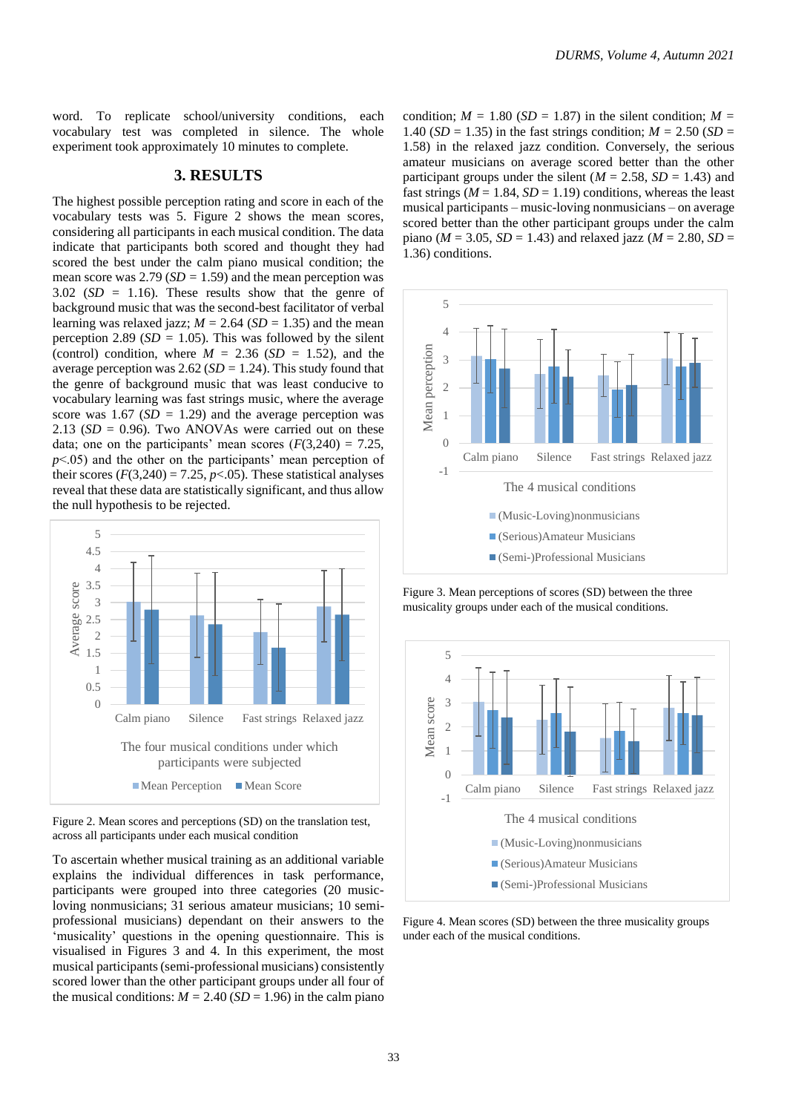word. To replicate school/university conditions, each vocabulary test was completed in silence. The whole experiment took approximately 10 minutes to complete.

## **3. RESULTS**

The highest possible perception rating and score in each of the vocabulary tests was 5. Figure 2 shows the mean scores, considering all participants in each musical condition. The data indicate that participants both scored and thought they had scored the best under the calm piano musical condition; the mean score was  $2.79$  ( $SD = 1.59$ ) and the mean perception was 3.02 (*SD* = 1.16). These results show that the genre of background music that was the second-best facilitator of verbal learning was relaxed jazz;  $M = 2.64$  (*SD* = 1.35) and the mean perception 2.89 ( $SD = 1.05$ ). This was followed by the silent (control) condition, where  $M = 2.36$  (*SD* = 1.52), and the average perception was 2.62 (*SD =* 1.24). This study found that the genre of background music that was least conducive to vocabulary learning was fast strings music, where the average score was  $1.67$  (*SD* = 1.29) and the average perception was  $2.13$  ( $SD = 0.96$ ). Two ANOVAs were carried out on these data; one on the participants' mean scores  $(F(3,240) = 7.25$ , *p*<.05) and the other on the participants' mean perception of their scores  $(F(3,240) = 7.25, p < .05)$ . These statistical analyses reveal that these data are statistically significant, and thus allow the null hypothesis to be rejected.



Figure 2. Mean scores and perceptions (SD) on the translation test, across all participants under each musical condition

To ascertain whether musical training as an additional variable explains the individual differences in task performance, participants were grouped into three categories (20 musicloving nonmusicians; 31 serious amateur musicians; 10 semiprofessional musicians) dependant on their answers to the 'musicality' questions in the opening questionnaire. This is visualised in Figures 3 and 4. In this experiment, the most musical participants (semi-professional musicians) consistently scored lower than the other participant groups under all four of the musical conditions:  $M = 2.40$  (*SD* = 1.96) in the calm piano condition;  $M = 1.80$  (*SD* = 1.87) in the silent condition;  $M =$ 1.40 ( $SD = 1.35$ ) in the fast strings condition;  $M = 2.50$  ( $SD = 1.35$ ) 1.58) in the relaxed jazz condition. Conversely, the serious amateur musicians on average scored better than the other participant groups under the silent ( $M = 2.58$ ,  $SD = 1.43$ ) and fast strings ( $M = 1.84$ ,  $SD = 1.19$ ) conditions, whereas the least musical participants – music-loving nonmusicians – on average scored better than the other participant groups under the calm piano ( $M = 3.05$ ,  $SD = 1.43$ ) and relaxed jazz ( $M = 2.80$ ,  $SD =$ 1.36) conditions.



Figure 3. Mean perceptions of scores (SD) between the three musicality groups under each of the musical conditions.



Figure 4. Mean scores (SD) between the three musicality groups under each of the musical conditions.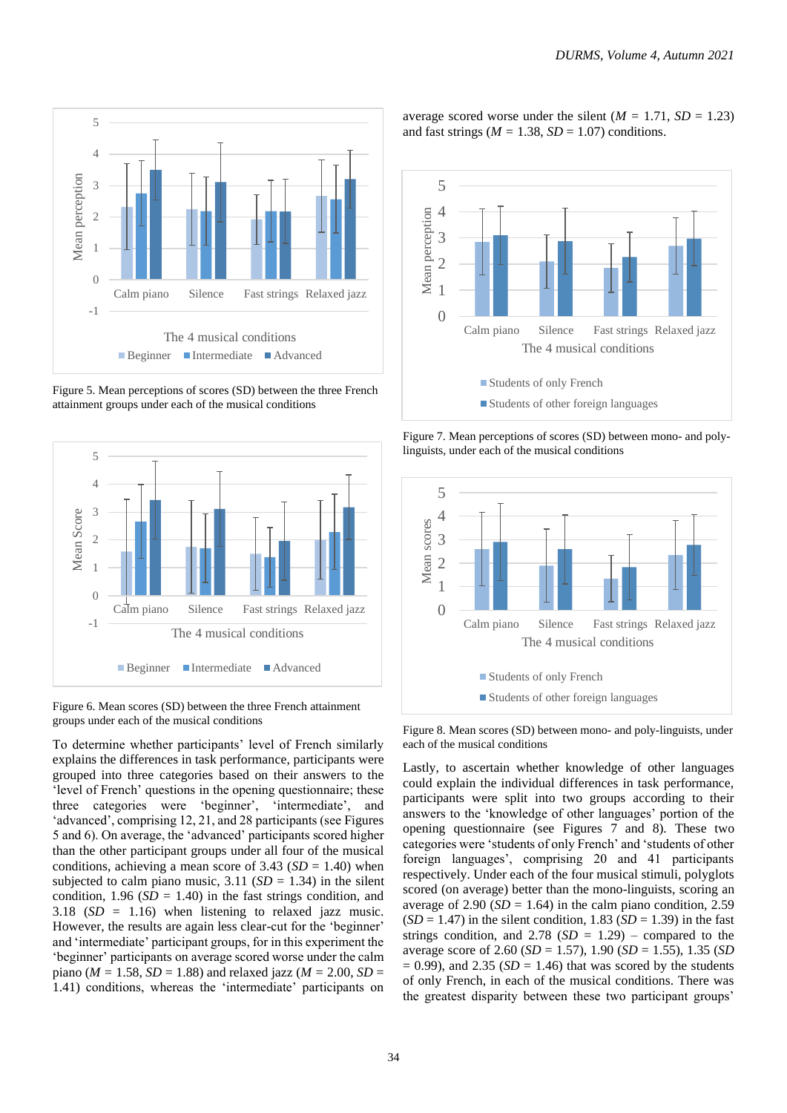

Figure 5. Mean perceptions of scores (SD) between the three French attainment groups under each of the musical conditions



Figure 6. Mean scores (SD) between the three French attainment groups under each of the musical conditions

To determine whether participants' level of French similarly explains the differences in task performance, participants were grouped into three categories based on their answers to the 'level of French' questions in the opening questionnaire; these three categories were 'beginner', 'intermediate', and 'advanced', comprising 12, 21, and 28 participants (see Figures 5 and 6). On average, the 'advanced' participants scored higher than the other participant groups under all four of the musical conditions, achieving a mean score of  $3.43$  (*SD* = 1.40) when subjected to calm piano music,  $3.11$  (*SD* = 1.34) in the silent condition,  $1.96$  ( $SD = 1.40$ ) in the fast strings condition, and 3.18 (*SD* = 1.16) when listening to relaxed jazz music. However, the results are again less clear-cut for the 'beginner' and 'intermediate' participant groups, for in this experiment the 'beginner' participants on average scored worse under the calm piano ( $M = 1.58$ ,  $SD = 1.88$ ) and relaxed jazz ( $M = 2.00$ ,  $SD =$ 1.41) conditions, whereas the 'intermediate' participants on

average scored worse under the silent  $(M = 1.71, SD = 1.23)$ and fast strings ( $M = 1.38$ ,  $SD = 1.07$ ) conditions.



Figure 7. Mean perceptions of scores (SD) between mono- and polylinguists, under each of the musical conditions



Figure 8. Mean scores (SD) between mono- and poly-linguists, under each of the musical conditions

Lastly, to ascertain whether knowledge of other languages could explain the individual differences in task performance, participants were split into two groups according to their answers to the 'knowledge of other languages' portion of the opening questionnaire (see Figures 7 and 8). These two categories were 'students of only French' and 'students of other foreign languages', comprising 20 and 41 participants respectively. Under each of the four musical stimuli, polyglots scored (on average) better than the mono-linguists, scoring an average of 2.90  $(SD = 1.64)$  in the calm piano condition, 2.59  $(SD = 1.47)$  in the silent condition, 1.83  $(SD = 1.39)$  in the fast strings condition, and  $2.78$  (*SD* = 1.29) – compared to the average score of 2.60 (*SD* = 1.57), 1.90 (*SD* = 1.55), 1.35 (*SD*   $= 0.99$ ), and 2.35 (*SD*  $= 1.46$ ) that was scored by the students of only French, in each of the musical conditions. There was the greatest disparity between these two participant groups'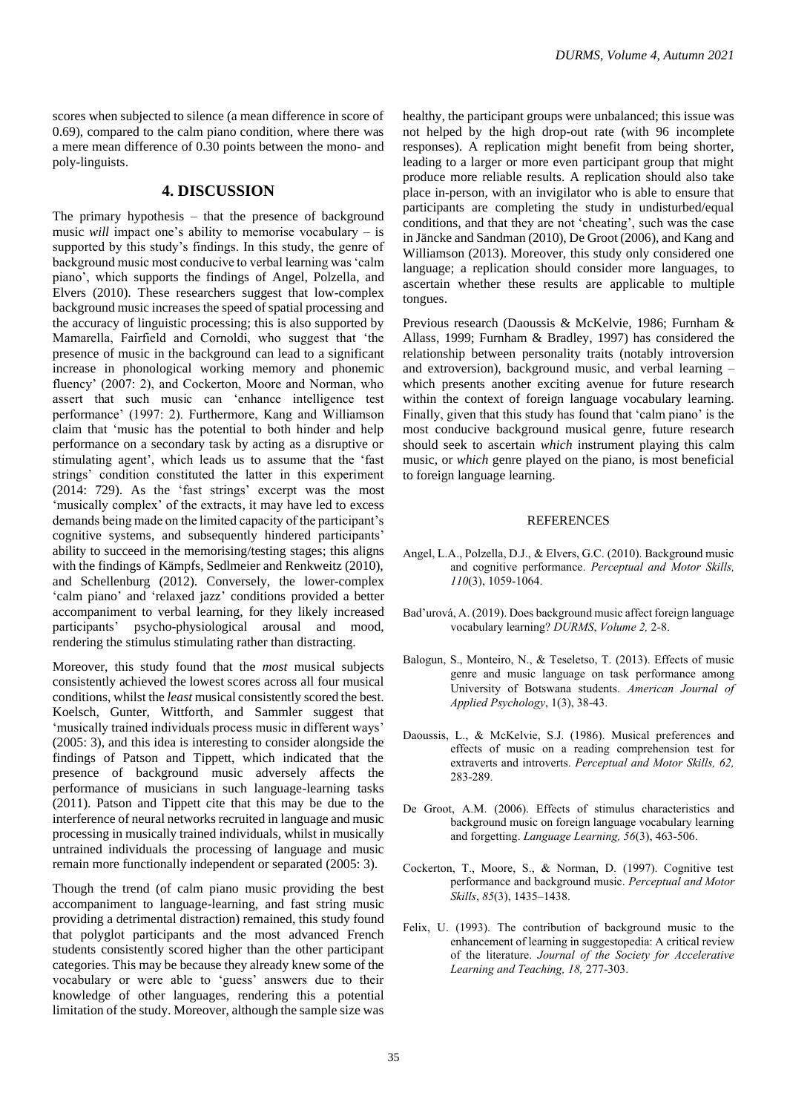scores when subjected to silence (a mean difference in score of 0.69), compared to the calm piano condition, where there was a mere mean difference of 0.30 points between the mono- and poly-linguists.

### **4. DISCUSSION**

The primary hypothesis – that the presence of background music *will* impact one's ability to memorise vocabulary – is supported by this study's findings. In this study, the genre of background music most conducive to verbal learning was 'calm piano', which supports the findings of Angel, Polzella, and Elvers (2010). These researchers suggest that low-complex background music increases the speed of spatial processing and the accuracy of linguistic processing; this is also supported by Mamarella, Fairfield and Cornoldi, who suggest that 'the presence of music in the background can lead to a significant increase in phonological working memory and phonemic fluency' (2007: 2), and Cockerton, Moore and Norman, who assert that such music can 'enhance intelligence test performance' (1997: 2). Furthermore, Kang and Williamson claim that 'music has the potential to both hinder and help performance on a secondary task by acting as a disruptive or stimulating agent', which leads us to assume that the 'fast strings' condition constituted the latter in this experiment (2014: 729). As the 'fast strings' excerpt was the most 'musically complex' of the extracts, it may have led to excess demands being made on the limited capacity of the participant's cognitive systems, and subsequently hindered participants' ability to succeed in the memorising/testing stages; this aligns with the findings of Kämpfs, Sedlmeier and Renkweitz (2010), and Schellenburg (2012). Conversely, the lower-complex 'calm piano' and 'relaxed jazz' conditions provided a better accompaniment to verbal learning, for they likely increased participants' psycho-physiological arousal and mood, rendering the stimulus stimulating rather than distracting.

Moreover, this study found that the *most* musical subjects consistently achieved the lowest scores across all four musical conditions, whilst the *least* musical consistently scored the best. Koelsch, Gunter, Wittforth, and Sammler suggest that 'musically trained individuals process music in different ways' (2005: 3), and this idea is interesting to consider alongside the findings of Patson and Tippett, which indicated that the presence of background music adversely affects the performance of musicians in such language-learning tasks (2011). Patson and Tippett cite that this may be due to the interference of neural networks recruited in language and music processing in musically trained individuals, whilst in musically untrained individuals the processing of language and music remain more functionally independent or separated (2005: 3).

Though the trend (of calm piano music providing the best accompaniment to language-learning, and fast string music providing a detrimental distraction) remained, this study found that polyglot participants and the most advanced French students consistently scored higher than the other participant categories. This may be because they already knew some of the vocabulary or were able to 'guess' answers due to their knowledge of other languages, rendering this a potential limitation of the study. Moreover, although the sample size was

healthy, the participant groups were unbalanced; this issue was not helped by the high drop-out rate (with 96 incomplete responses). A replication might benefit from being shorter, leading to a larger or more even participant group that might produce more reliable results. A replication should also take place in-person, with an invigilator who is able to ensure that participants are completing the study in undisturbed/equal conditions, and that they are not 'cheating', such was the case in Jäncke and Sandman (2010), De Groot (2006), and Kang and Williamson (2013). Moreover, this study only considered one language; a replication should consider more languages, to ascertain whether these results are applicable to multiple tongues.

Previous research (Daoussis & McKelvie, 1986; Furnham & Allass, 1999; Furnham & Bradley, 1997) has considered the relationship between personality traits (notably introversion and extroversion), background music, and verbal learning – which presents another exciting avenue for future research within the context of foreign language vocabulary learning. Finally, given that this study has found that 'calm piano' is the most conducive background musical genre, future research should seek to ascertain *which* instrument playing this calm music, or *which* genre played on the piano, is most beneficial to foreign language learning.

#### **REFERENCES**

- Angel, L.A., Polzella, D.J., & Elvers, G.C. (2010). Background music and cognitive performance. *Perceptual and Motor Skills, 110*(3), 1059-1064.
- Bad'urová, A. (2019). Does background music affect foreign language vocabulary learning? *DURMS*, *Volume 2,* 2-8.
- Balogun, S., Monteiro, N., & Teseletso, T. (2013). Effects of music genre and music language on task performance among University of Botswana students. *American Journal of Applied Psychology*, 1(3), 38-43.
- Daoussis, L., & McKelvie, S.J. (1986). Musical preferences and effects of music on a reading comprehension test for extraverts and introverts. *Perceptual and Motor Skills, 62,*  283-289.
- De Groot, A.M. (2006). Effects of stimulus characteristics and background music on foreign language vocabulary learning and forgetting. *Language Learning, 56*(3), 463-506.
- Cockerton, T., Moore, S., & Norman, D. (1997). Cognitive test performance and background music. *Perceptual and Motor Skills*, *85*(3), 1435–1438.
- Felix, U. (1993). The contribution of background music to the enhancement of learning in suggestopedia: A critical review of the literature. *Journal of the Society for Accelerative Learning and Teaching, 18,* 277-303.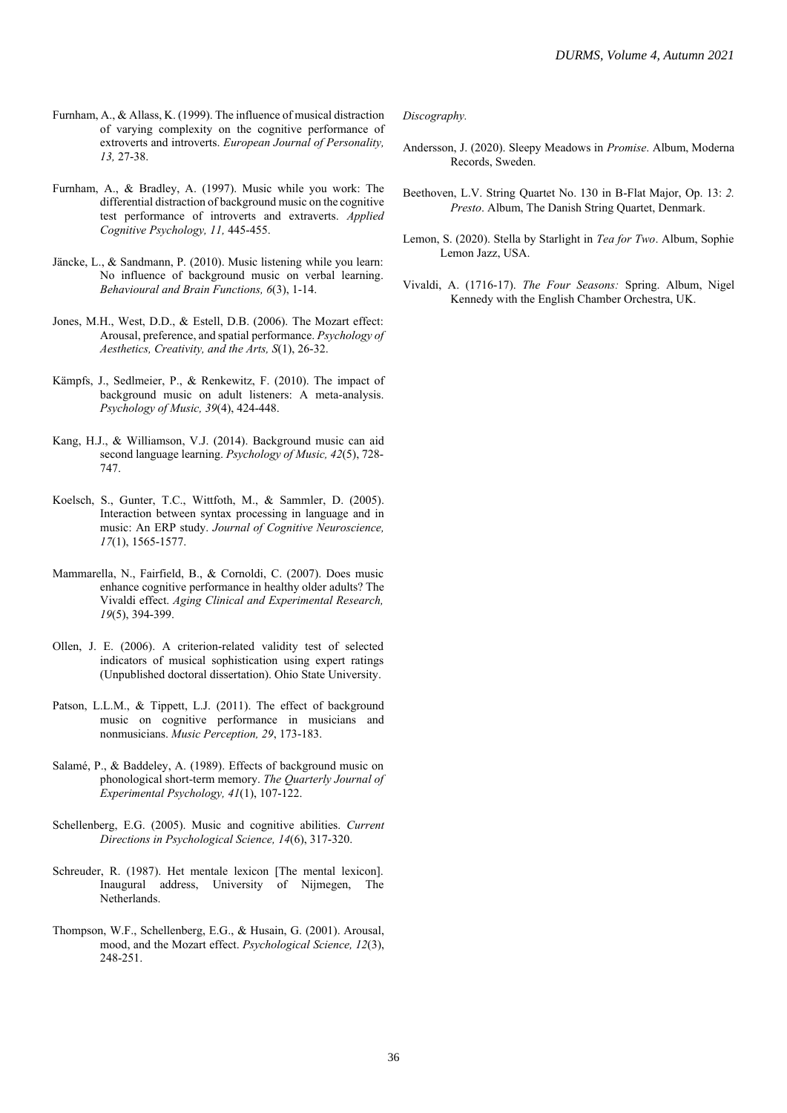- Furnham, A., & Allass, K. (1999). The influence of musical distraction of varying complexity on the cognitive performance of extroverts and introverts. *European Journal of Personality, 13,* 27-38.
- Furnham, A., & Bradley, A. (1997). Music while you work: The differential distraction of background music on the cognitive test performance of introverts and extraverts. *Applied Cognitive Psychology, 11,* 445-455.
- Jäncke, L., & Sandmann, P. (2010). Music listening while you learn: No influence of background music on verbal learning. *Behavioural and Brain Functions, 6*(3), 1-14.
- Jones, M.H., West, D.D., & Estell, D.B. (2006). The Mozart effect: Arousal, preference, and spatial performance. *Psychology of Aesthetics, Creativity, and the Arts, S*(1), 26-32.
- Kämpfs, J., Sedlmeier, P., & Renkewitz, F. (2010). The impact of background music on adult listeners: A meta-analysis. *Psychology of Music, 39*(4), 424-448.
- Kang, H.J., & Williamson, V.J. (2014). Background music can aid second language learning. *Psychology of Music, 42*(5), 728- 747.
- Koelsch, S., Gunter, T.C., Wittfoth, M., & Sammler, D. (2005). Interaction between syntax processing in language and in music: An ERP study. *Journal of Cognitive Neuroscience, 17*(1), 1565-1577.
- Mammarella, N., Fairfield, B., & Cornoldi, C. (2007). Does music enhance cognitive performance in healthy older adults? The Vivaldi effect. *Aging Clinical and Experimental Research, 19*(5), 394-399.
- Ollen, J. E. (2006). A criterion-related validity test of selected indicators of musical sophistication using expert ratings (Unpublished doctoral dissertation). Ohio State University.
- Patson, L.L.M., & Tippett, L.J. (2011). The effect of background music on cognitive performance in musicians and nonmusicians. *Music Perception, 29*, 173-183.
- Salamé, P., & Baddeley, A. (1989). Effects of background music on phonological short-term memory. *The Quarterly Journal of Experimental Psychology, 41*(1), 107-122.
- Schellenberg, E.G. (2005). Music and cognitive abilities. *Current Directions in Psychological Science, 14*(6), 317-320.
- Schreuder, R. (1987). Het mentale lexicon [The mental lexicon]. Inaugural address, University of Nijmegen, The Netherlands.
- Thompson, W.F., Schellenberg, E.G., & Husain, G. (2001). Arousal, mood, and the Mozart effect. *Psychological Science, 12*(3), 248-251.

*Discography.*

- Andersson, J. (2020). Sleepy Meadows in *Promise*. Album, Moderna Records, Sweden.
- Beethoven, L.V. String Quartet No. 130 in B-Flat Major, Op. 13: *2. Presto*. Album, The Danish String Quartet, Denmark.
- Lemon, S. (2020). Stella by Starlight in *Tea for Two*. Album, Sophie Lemon Jazz, USA.
- Vivaldi, A. (1716-17). *The Four Seasons:* Spring. Album, Nigel Kennedy with the English Chamber Orchestra, UK.